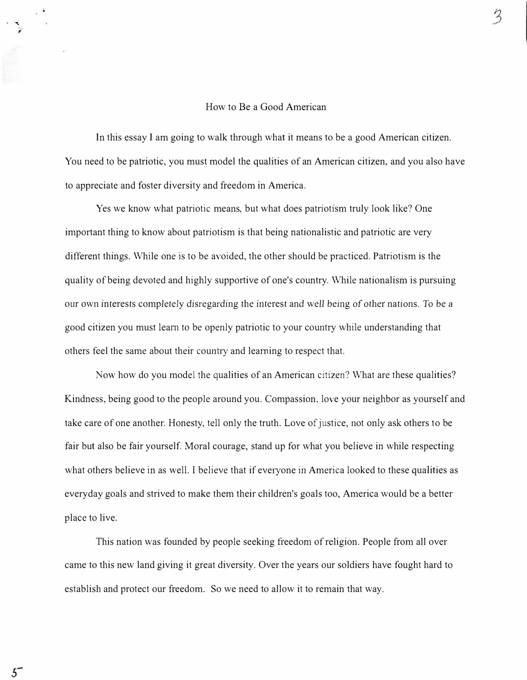In this essay I am going to walk through what it means to be a good American citizen. You need to be patriotic, you must model the qualities of an American citizen, and you also have to appreciate and foster diversity and freedom in America.

Yes we know what patriotic means, but what does patriotism truly look like? One important thing to know about patriotism is that being nationalistic and patriotic are very different things. While one is to be avoided, the other should be practiced. Patriotism is the quality of being devoted and highly supportive of one's country. While nationalism is pursuing our own interests completely disregarding the interest and well being of other nations. To be a good citizen you must learn to be openly patriotic to your country while understanding that others feel the same about their country and learning to respect that.

Now how do you model the qualities of an American citizen? What are these qualities? Kindness, being good to the people around you. Compassion, love your neighbor as yourself and take care of one another. Honesty, tell only the truth. Love of justice, not only ask others to be fair but also be fair yourself. Moral courage, stand up for what you believe in while respecting what others believe in as well. I believe that if everyone in America looked to these qualities as everyday goals and strived to make them their children's goals too, America would be a better place to live.

This nation was founded by people seeking freedom of religion. People from all over came to this new land giving it great diversity. Over the years our soldiers have fought hard to establish and protect our freedom. So we need to allow it to remain that way.